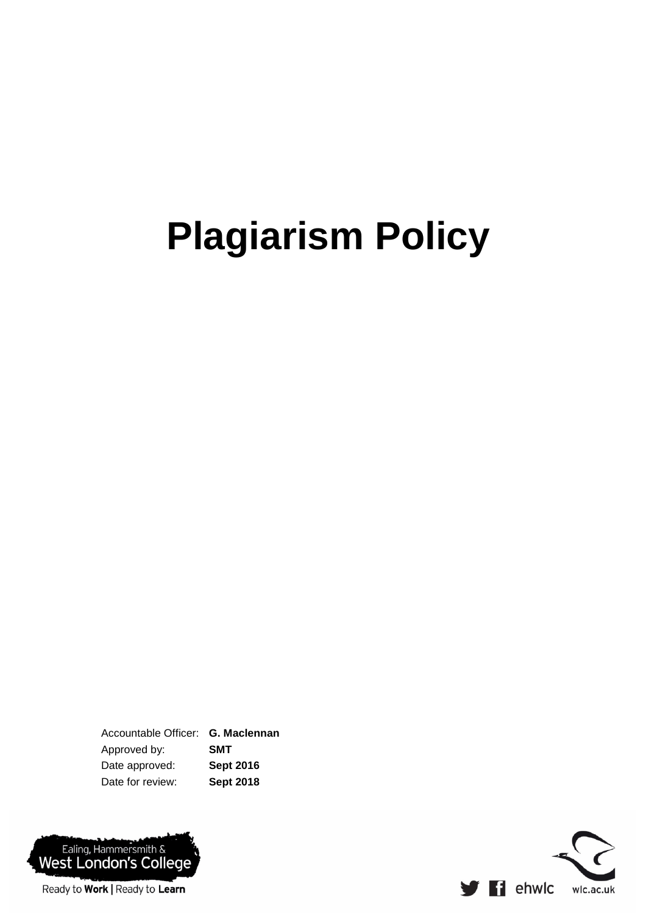# **Plagiarism Policy**

Accountable Officer: **G. Maclennan** Approved by: **SMT** Date approved: **Sept 2016** Date for review: **Sept 2018**



 $\blacktriangleright$   $\blacktriangleleft$  ehwlc wlc.ac.uk

Ready to Work | Ready to Learn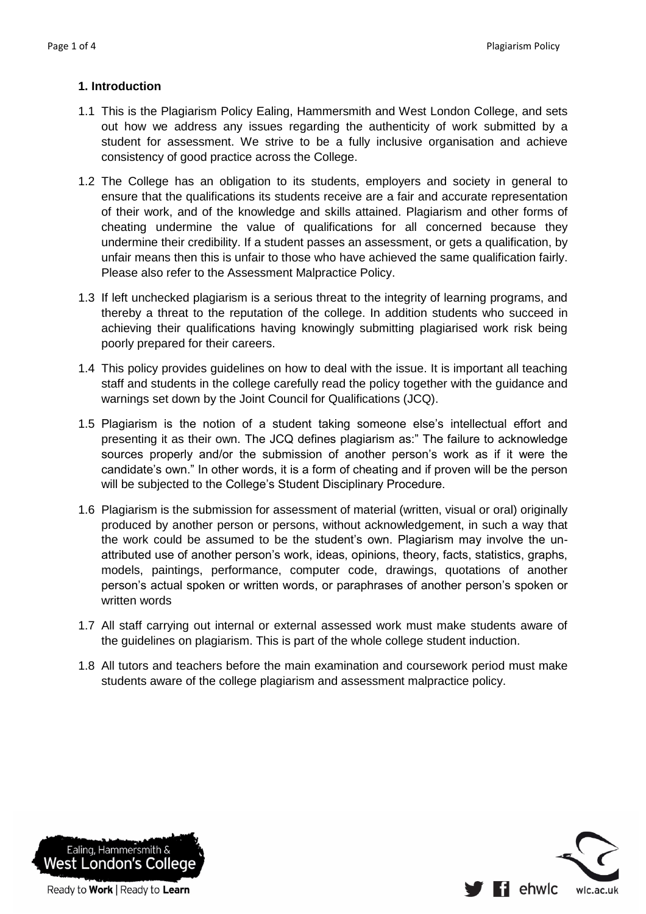## **1. Introduction**

- 1.1 This is the Plagiarism Policy Ealing, Hammersmith and West London College, and sets out how we address any issues regarding the authenticity of work submitted by a student for assessment. We strive to be a fully inclusive organisation and achieve consistency of good practice across the College.
- 1.2 The College has an obligation to its students, employers and society in general to ensure that the qualifications its students receive are a fair and accurate representation of their work, and of the knowledge and skills attained. Plagiarism and other forms of cheating undermine the value of qualifications for all concerned because they undermine their credibility. If a student passes an assessment, or gets a qualification, by unfair means then this is unfair to those who have achieved the same qualification fairly. Please also refer to the Assessment Malpractice Policy.
- 1.3 If left unchecked plagiarism is a serious threat to the integrity of learning programs, and thereby a threat to the reputation of the college. In addition students who succeed in achieving their qualifications having knowingly submitting plagiarised work risk being poorly prepared for their careers.
- 1.4 This policy provides guidelines on how to deal with the issue. It is important all teaching staff and students in the college carefully read the policy together with the guidance and warnings set down by the Joint Council for Qualifications (JCQ).
- 1.5 Plagiarism is the notion of a student taking someone else's intellectual effort and presenting it as their own. The JCQ defines plagiarism as:" The failure to acknowledge sources properly and/or the submission of another person's work as if it were the candidate's own." In other words, it is a form of cheating and if proven will be the person will be subjected to the College's Student Disciplinary Procedure.
- 1.6 Plagiarism is the submission for assessment of material (written, visual or oral) originally produced by another person or persons, without acknowledgement, in such a way that the work could be assumed to be the student's own. Plagiarism may involve the unattributed use of another person's work, ideas, opinions, theory, facts, statistics, graphs, models, paintings, performance, computer code, drawings, quotations of another person's actual spoken or written words, or paraphrases of another person's spoken or written words
- 1.7 All staff carrying out internal or external assessed work must make students aware of the guidelines on plagiarism. This is part of the whole college student induction.
- 1.8 All tutors and teachers before the main examination and coursework period must make students aware of the college plagiarism and assessment malpractice policy.



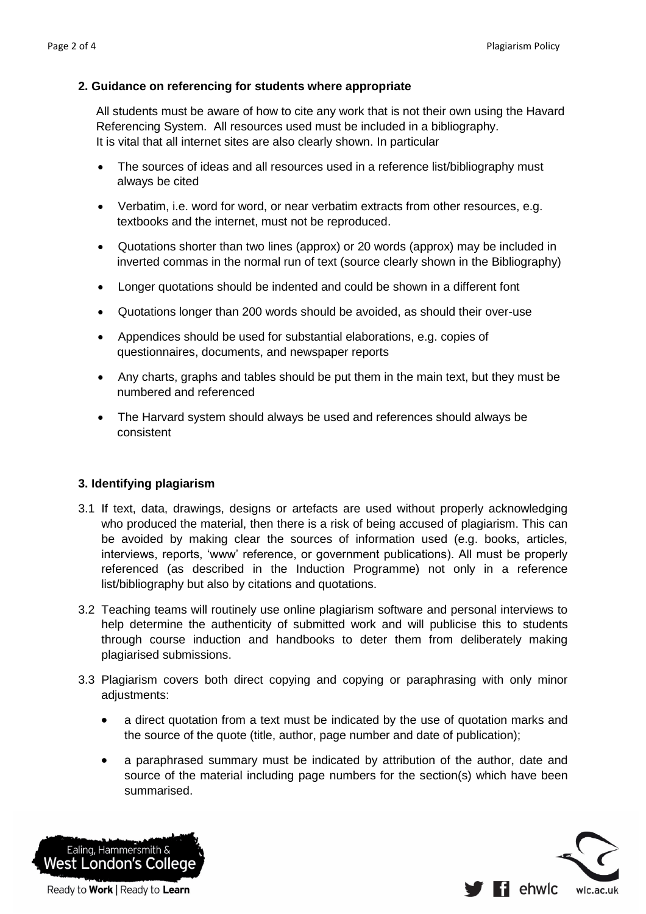#### **2. Guidance on referencing for students where appropriate**

All students must be aware of how to cite any work that is not their own using the Havard Referencing System. All resources used must be included in a bibliography. It is vital that all internet sites are also clearly shown. In particular

- The sources of ideas and all resources used in a reference list/bibliography must always be cited
- Verbatim, i.e. word for word, or near verbatim extracts from other resources, e.g. textbooks and the internet, must not be reproduced.
- Quotations shorter than two lines (approx) or 20 words (approx) may be included in inverted commas in the normal run of text (source clearly shown in the Bibliography)
- Longer quotations should be indented and could be shown in a different font
- Quotations longer than 200 words should be avoided, as should their over-use
- Appendices should be used for substantial elaborations, e.g. copies of questionnaires, documents, and newspaper reports
- Any charts, graphs and tables should be put them in the main text, but they must be numbered and referenced
- The Harvard system should always be used and references should always be consistent

## **3. Identifying plagiarism**

- 3.1 If text, data, drawings, designs or artefacts are used without properly acknowledging who produced the material, then there is a risk of being accused of plagiarism. This can be avoided by making clear the sources of information used (e.g. books, articles, interviews, reports, 'www' reference, or government publications). All must be properly referenced (as described in the Induction Programme) not only in a reference list/bibliography but also by citations and quotations.
- 3.2 Teaching teams will routinely use online plagiarism software and personal interviews to help determine the authenticity of submitted work and will publicise this to students through course induction and handbooks to deter them from deliberately making plagiarised submissions.
- 3.3 Plagiarism covers both direct copying and copying or paraphrasing with only minor adjustments:
	- a direct quotation from a text must be indicated by the use of quotation marks and the source of the quote (title, author, page number and date of publication);
	- a paraphrased summary must be indicated by attribution of the author, date and source of the material including page numbers for the section(s) which have been summarised.



Ready to Work | Ready to Learn

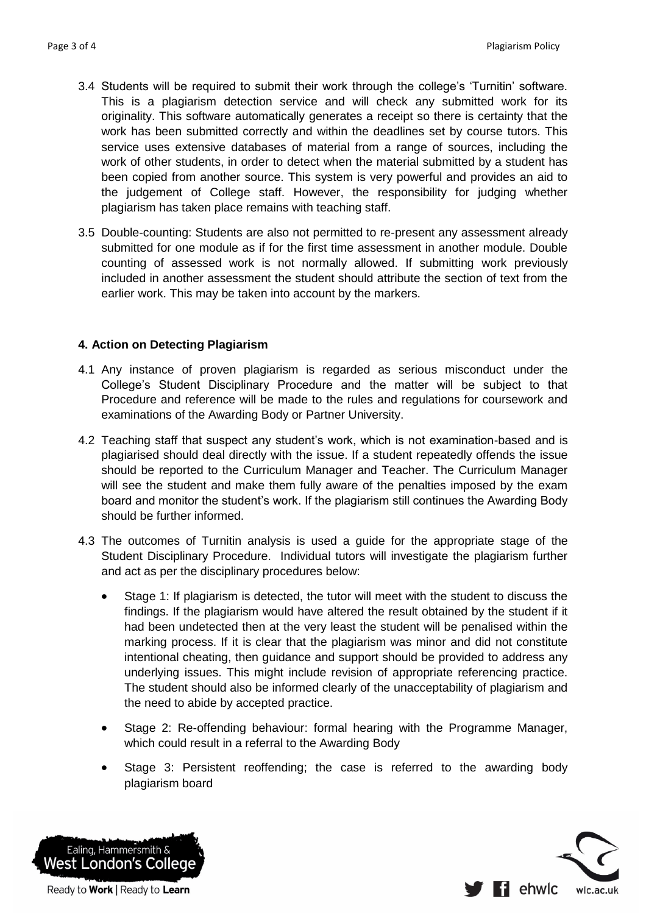- 3.4 Students will be required to submit their work through the college's 'Turnitin' software. This is a plagiarism detection service and will check any submitted work for its originality. This software automatically generates a receipt so there is certainty that the work has been submitted correctly and within the deadlines set by course tutors. This service uses extensive databases of material from a range of sources, including the work of other students, in order to detect when the material submitted by a student has been copied from another source. This system is very powerful and provides an aid to the judgement of College staff. However, the responsibility for judging whether plagiarism has taken place remains with teaching staff.
- 3.5 Double-counting: Students are also not permitted to re-present any assessment already submitted for one module as if for the first time assessment in another module. Double counting of assessed work is not normally allowed. If submitting work previously included in another assessment the student should attribute the section of text from the earlier work. This may be taken into account by the markers.

## **4. Action on Detecting Plagiarism**

- 4.1 Any instance of proven plagiarism is regarded as serious misconduct under the College's Student Disciplinary Procedure and the matter will be subject to that Procedure and reference will be made to the rules and regulations for coursework and examinations of the Awarding Body or Partner University.
- 4.2 Teaching staff that suspect any student's work, which is not examination-based and is plagiarised should deal directly with the issue. If a student repeatedly offends the issue should be reported to the Curriculum Manager and Teacher. The Curriculum Manager will see the student and make them fully aware of the penalties imposed by the exam board and monitor the student's work. If the plagiarism still continues the Awarding Body should be further informed.
- 4.3 The outcomes of Turnitin analysis is used a guide for the appropriate stage of the Student Disciplinary Procedure. Individual tutors will investigate the plagiarism further and act as per the disciplinary procedures below:
	- Stage 1: If plagiarism is detected, the tutor will meet with the student to discuss the findings. If the plagiarism would have altered the result obtained by the student if it had been undetected then at the very least the student will be penalised within the marking process. If it is clear that the plagiarism was minor and did not constitute intentional cheating, then guidance and support should be provided to address any underlying issues. This might include revision of appropriate referencing practice. The student should also be informed clearly of the unacceptability of plagiarism and the need to abide by accepted practice.
	- Stage 2: Re-offending behaviour: formal hearing with the Programme Manager, which could result in a referral to the Awarding Body
	- Stage 3: Persistent reoffending; the case is referred to the awarding body plagiarism board